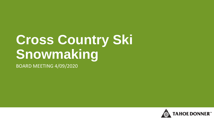# **Cross Country Ski Snowmaking**

BOARD MEETING 4/09/2020

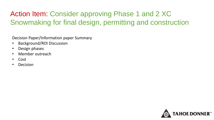## Action Item: Consider approving Phase 1 and 2 XC Snowmaking for final design, permitting and construction

Decision Paper/Information paper Summary

- Background/ROI Discussion
- Design phases
- Member outreach
- Cost
- Decision

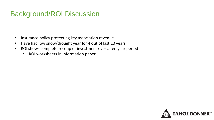### Background/ROI Discussion

- Insurance policy protecting key association revenue
- Have had low snow/drought year for 4 out of last 10 years
- ROI shows complete recoup of investment over a ten year period
	- ROI worksheets in information paper

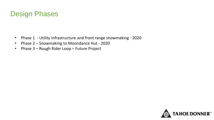#### Design Phases

- Phase 1 Utility infrastructure and front range snowmaking 2020
- Phase 2 Snowmaking to Moondance Hut 2020
- Phase 3 Rough Rider Loop Future Project

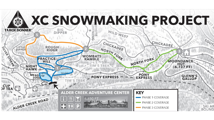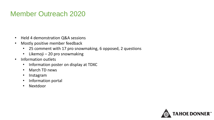#### Member Outreach 2020

- Held 4 demonstration Q&A sessions
- Mostly positive member feedback
	- 25 comment with 17 pro snowmaking, 6 opposed, 2 questions
	- Likemoji 20 pro snowmaking
- Information outlets
	- Information poster on display at TDXC
	- March TD news
	- Instagram
	- Information portal
	- Nextdoor

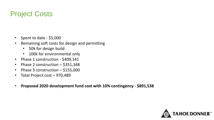#### Project Costs

- Spent to date \$5,000
- Remaining soft costs for design and permitting
	- 50k for design build
	- 100k for environmental only
- Phase 1 construction \$409,141
- Phase 2 construction \$351,348
- Phase 3 construction \$155,000
- Total Project cost 970,489
- **Proposed 2020 development fund cost with 10% contingency - \$891,538**